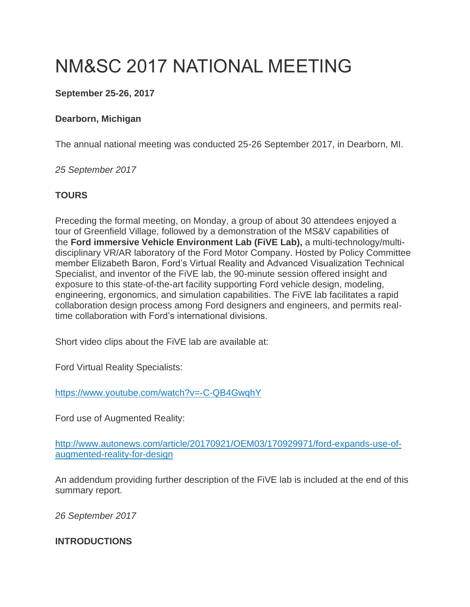# NM&SC 2017 NATIONAL MEETING

# **September 25-26, 2017**

#### **Dearborn, Michigan**

The annual national meeting was conducted 25-26 September 2017, in Dearborn, MI.

*25 September 2017*

#### **TOURS**

Preceding the formal meeting, on Monday, a group of about 30 attendees enjoyed a tour of Greenfield Village, followed by a demonstration of the MS&V capabilities of the **Ford immersive Vehicle Environment Lab (FiVE Lab),** a multi-technology/multidisciplinary VR/AR laboratory of the Ford Motor Company. Hosted by Policy Committee member Elizabeth Baron, Ford's Virtual Reality and Advanced Visualization Technical Specialist, and inventor of the FiVE lab, the 90-minute session offered insight and exposure to this state-of-the-art facility supporting Ford vehicle design, modeling, engineering, ergonomics, and simulation capabilities. The FiVE lab facilitates a rapid collaboration design process among Ford designers and engineers, and permits realtime collaboration with Ford's international divisions.

Short video clips about the FiVE lab are available at:

Ford Virtual Reality Specialists:

<https://www.youtube.com/watch?v=-C-QB4GwqhY>

Ford use of Augmented Reality:

[http://www.autonews.com/article/20170921/OEM03/170929971/ford-expands-use-of](http://www.autonews.com/article/20170921/OEM03/170929971/ford-expands-use-of-augmented-reality-for-design)[augmented-reality-for-design](http://www.autonews.com/article/20170921/OEM03/170929971/ford-expands-use-of-augmented-reality-for-design)

An addendum providing further description of the FiVE lab is included at the end of this summary report.

*26 September 2017*

## **INTRODUCTIONS**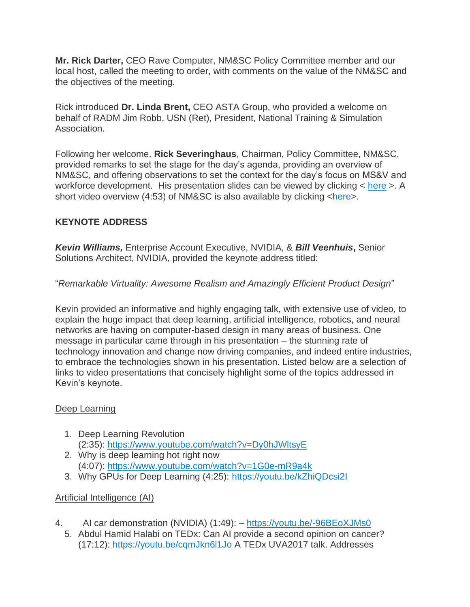**Mr. Rick Darter,** CEO Rave Computer, NM&SC Policy Committee member and our local host, called the meeting to order, with comments on the value of the NM&SC and the objectives of the meeting.

Rick introduced **Dr. Linda Brent,** CEO ASTA Group, who provided a welcome on behalf of RADM Jim Robb, USN (Ret), President, National Training & Simulation Association.

Following her welcome, **Rick Severinghaus**, Chairman, Policy Committee, NM&SC, provided remarks to set the stage for the day's agenda, providing an overview of NM&SC, and offering observations to set the context for the day's focus on MS&V and workforce development. His presentation slides can be viewed by clicking < [here](http://thenmsc.org/wp-content/uploads/2017/10/NMSC-Chair-OpeningRmks-NMSC-Sep17.pdf) >. A short video overview (4:53) of NM&SC is also available by clicking  $\langle here \rangle$ .

## **KEYNOTE ADDRESS**

*Kevin Williams,* Enterprise Account Executive, NVIDIA, & *Bill Veenhuis***,** Senior Solutions Architect, NVIDIA, provided the keynote address titled:

## "*Remarkable Virtuality: Awesome Realism and Amazingly Efficient Product Design*"

Kevin provided an informative and highly engaging talk, with extensive use of video, to explain the huge impact that deep learning, artificial intelligence, robotics, and neural networks are having on computer-based design in many areas of business. One message in particular came through in his presentation – the stunning rate of technology innovation and change now driving companies, and indeed entire industries, to embrace the technologies shown in his presentation. Listed below are a selection of links to video presentations that concisely highlight some of the topics addressed in Kevin's keynote.

#### Deep Learning

- 1. Deep Learning Revolution (2:35): <https://www.youtube.com/watch?v=Dy0hJWltsyE>
- 2. Why is deep learning hot right now (4:07): <https://www.youtube.com/watch?v=1G0e-mR9a4k>
- 3. Why GPUs for Deep Learning (4:25): <https://youtu.be/kZhiQDcsi2I>

## Artificial Intelligence (AI)

- 4. AI car demonstration (NVIDIA) (1:49): <https://youtu.be/-96BEoXJMs0>
	- 5. Abdul Hamid Halabi on TEDx: Can AI provide a second opinion on cancer? (17:12): <https://youtu.be/cqmJkn6l1Jo> A TEDx UVA2017 talk. Addresses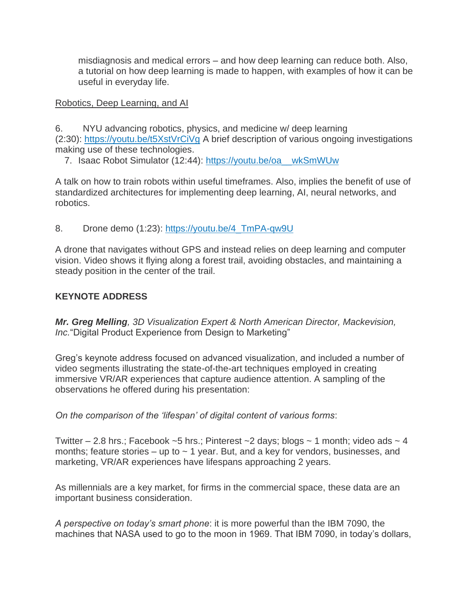misdiagnosis and medical errors – and how deep learning can reduce both. Also, a tutorial on how deep learning is made to happen, with examples of how it can be useful in everyday life.

#### Robotics, Deep Learning, and AI

6. NYU advancing robotics, physics, and medicine w/ deep learning (2:30): <https://youtu.be/t5XstVrCiVg> A brief description of various ongoing investigations making use of these technologies.

7. Isaac Robot Simulator (12:44): [https://youtu.be/oa\\_\\_wkSmWUw](https://youtu.be/oa__wkSmWUw)

A talk on how to train robots within useful timeframes. Also, implies the benefit of use of standardized architectures for implementing deep learning, AI, neural networks, and robotics.

8. Drone demo (1:23): https://youtu.be/4 TmPA-qw9U

A drone that navigates without GPS and instead relies on deep learning and computer vision. Video shows it flying along a forest trail, avoiding obstacles, and maintaining a steady position in the center of the trail.

#### **KEYNOTE ADDRESS**

*Mr. Greg Melling, 3D Visualization Expert & North American Director, Mackevision, Inc.*"Digital Product Experience from Design to Marketing"

Greg's keynote address focused on advanced visualization, and included a number of video segments illustrating the state-of-the-art techniques employed in creating immersive VR/AR experiences that capture audience attention. A sampling of the observations he offered during his presentation:

*On the comparison of the 'lifespan' of digital content of various forms*:

Twitter  $-2.8$  hrs.; Facebook  $-5$  hrs.; Pinterest  $-2$  days; blogs  $\sim$  1 month; video ads  $\sim$  4 months; feature stories  $-$  up to  $\sim$  1 year. But, and a key for vendors, businesses, and marketing, VR/AR experiences have lifespans approaching 2 years.

As millennials are a key market, for firms in the commercial space, these data are an important business consideration.

*A perspective on today's smart phone*: it is more powerful than the IBM 7090, the machines that NASA used to go to the moon in 1969. That IBM 7090, in today's dollars,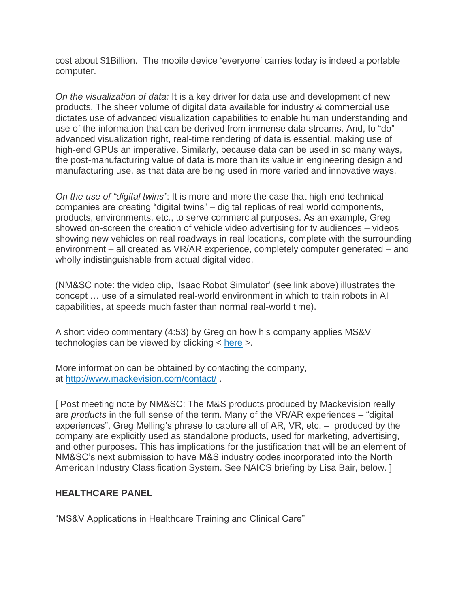cost about \$1Billion. The mobile device 'everyone' carries today is indeed a portable computer.

*On the visualization of data:* It is a key driver for data use and development of new products. The sheer volume of digital data available for industry & commercial use dictates use of advanced visualization capabilities to enable human understanding and use of the information that can be derived from immense data streams. And, to "do" advanced visualization right, real-time rendering of data is essential, making use of high-end GPUs an imperative. Similarly, because data can be used in so many ways, the post-manufacturing value of data is more than its value in engineering design and manufacturing use, as that data are being used in more varied and innovative ways.

*On the use of "digital twins"*: It is more and more the case that high-end technical companies are creating "digital twins" – digital replicas of real world components, products, environments, etc., to serve commercial purposes. As an example, Greg showed on-screen the creation of vehicle video advertising for tv audiences – videos showing new vehicles on real roadways in real locations, complete with the surrounding environment – all created as VR/AR experience, completely computer generated – and wholly indistinguishable from actual digital video.

(NM&SC note: the video clip, 'Isaac Robot Simulator' (see link above) illustrates the concept … use of a simulated real-world environment in which to train robots in AI capabilities, at speeds much faster than normal real-world time).

A short video commentary (4:53) by Greg on how his company applies MS&V technologies can be viewed by clicking < [here](https://www.youtube.com/watch?v=AlPMuCnUemA) >.

More information can be obtained by contacting the company, at <http://www.mackevision.com/contact/> .

[ Post meeting note by NM&SC: The M&S products produced by Mackevision really are *products* in the full sense of the term. Many of the VR/AR experiences – "digital experiences", Greg Melling's phrase to capture all of AR, VR, etc. – produced by the company are explicitly used as standalone products, used for marketing, advertising, and other purposes. This has implications for the justification that will be an element of NM&SC's next submission to have M&S industry codes incorporated into the North American Industry Classification System. See NAICS briefing by Lisa Bair, below. ]

#### **HEALTHCARE PANEL**

"MS&V Applications in Healthcare Training and Clinical Care"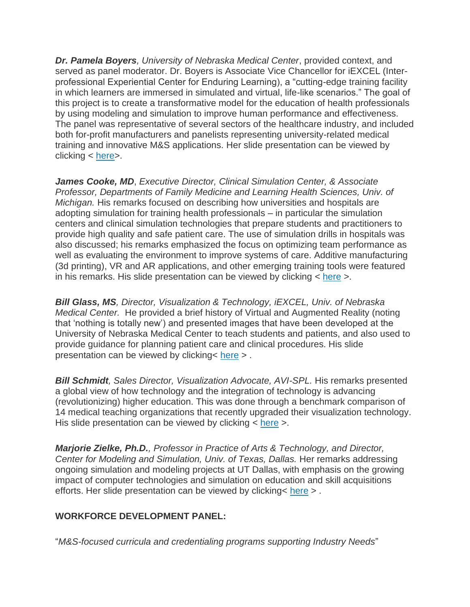*Dr. Pamela Boyers, University of Nebraska Medical Center*, provided context, and served as panel moderator. Dr. Boyers is Associate Vice Chancellor for iEXCEL (Interprofessional Experiential Center for Enduring Learning), a "cutting-edge training facility in which learners are immersed in simulated and virtual, life-like scenarios." The goal of this project is to create a transformative model for the education of health professionals by using modeling and simulation to improve human performance and effectiveness. The panel was representative of several sectors of the healthcare industry, and included both for-profit manufacturers and panelists representing university-related medical training and innovative M&S applications. Her slide presentation can be viewed by clicking < [here>](http://thenmsc.org/wp-content/uploads/2017/11/NMSC-Presentation-Boyers-Sept-2017-V3.pdf).

*James Cooke, MD*, *Executive Director, Clinical Simulation Center, & Associate Professor, Departments of Family Medicine and Learning Health Sciences, Univ. of Michigan.* His remarks focused on describing how universities and hospitals are adopting simulation for training health professionals – in particular the simulation centers and clinical simulation technologies that prepare students and practitioners to provide high quality and safe patient care. The use of simulation drills in hospitals was also discussed; his remarks emphasized the focus on optimizing team performance as well as evaluating the environment to improve systems of care. Additive manufacturing (3d printing), VR and AR applications, and other emerging training tools were featured in his remarks. His slide presentation can be viewed by clicking  $\lt$  [here](http://thenmsc.org/wp-content/uploads/2017/10/James-Cooke-NMSC-Sep17.pdf)  $\gt$ .

*Bill Glass, MS, Director, Visualization & Technology, iEXCEL, Univ. of Nebraska Medical Center.* He provided a brief history of Virtual and Augmented Reality (noting that 'nothing is totally new') and presented images that have been developed at the University of Nebraska Medical Center to teach students and patients, and also used to provide guidance for planning patient care and clinical procedures. His slide presentation can be viewed by clicking< [here](http://thenmsc.org/wp-content/uploads/2017/10/Bill-Glass-NMSC-Sep17.pdf) > .

*Bill Schmidt, Sales Director, Visualization Advocate, AVI-SPL.* His remarks presented a global view of how technology and the integration of technology is advancing (revolutionizing) higher education. This was done through a benchmark comparison of 14 medical teaching organizations that recently upgraded their visualization technology. His slide presentation can be viewed by clicking < [here](http://thenmsc.org/wp-content/uploads/2017/10/Bill-Schdmit-AVI-SPL-NMSC-Sep17.pdf) >.

*Marjorie Zielke, Ph.D., Professor in Practice of Arts & Technology, and Director, Center for Modeling and Simulation, Univ. of Texas, Dallas.* Her remarks addressing ongoing simulation and modeling projects at UT Dallas, with emphasis on the growing impact of computer technologies and simulation on education and skill acquisitions efforts. Her slide presentation can be viewed by clicking< [here](http://thenmsc.org/wp-content/uploads/2017/10/Marge-Zielke-NMSC-Sep17.pdf) > .

## **WORKFORCE DEVELOPMENT PANEL:**

"*M&S-focused curricula and credentialing programs supporting Industry Needs*"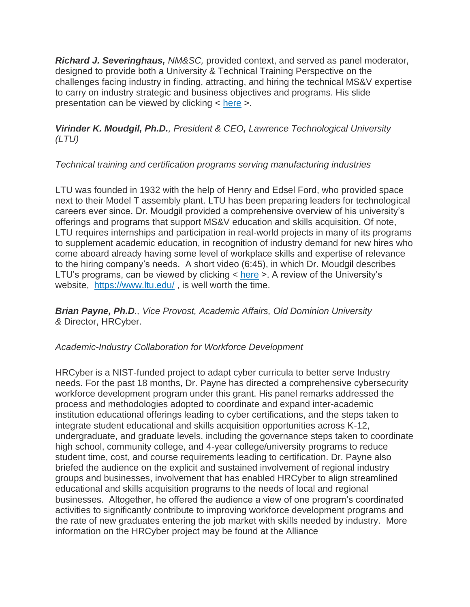*Richard J. Severinghaus, NM&SC,* provided context, and served as panel moderator, designed to provide both a University & Technical Training Perspective on the challenges facing industry in finding, attracting, and hiring the technical MS&V expertise to carry on industry strategic and business objectives and programs. His slide presentation can be viewed by clicking < [here](http://thenmsc.org/wp-content/uploads/2017/10/WF-Dvlpmnt-Panel-NMSC-Sep17.pdf) >.

*Virinder K. Moudgil, Ph.D., President & CEO, Lawrence Technological University (LTU)*

## *Technical training and certification programs serving manufacturing industries*

LTU was founded in 1932 with the help of Henry and Edsel Ford, who provided space next to their Model T assembly plant. LTU has been preparing leaders for technological careers ever since. Dr. Moudgil provided a comprehensive overview of his university's offerings and programs that support MS&V education and skills acquisition. Of note, LTU requires internships and participation in real-world projects in many of its programs to supplement academic education, in recognition of industry demand for new hires who come aboard already having some level of workplace skills and expertise of relevance to the hiring company's needs. A short video (6:45), in which Dr. Moudgil describes LTU's programs, can be viewed by clicking  $\langle$  [here](https://www.youtube.com/watch?v=F0cAb0-uW-M)  $\rangle$ . A review of the University's website, <https://www.ltu.edu/> , is well worth the time.

*Brian Payne, Ph.D., Vice Provost, Academic Affairs, Old Dominion University &* Director, HRCyber.

## *Academic-Industry Collaboration for Workforce Development*

HRCyber is a NIST-funded project to adapt cyber curricula to better serve Industry needs. For the past 18 months, Dr. Payne has directed a comprehensive cybersecurity workforce development program under this grant. His panel remarks addressed the process and methodologies adopted to coordinate and expand inter-academic institution educational offerings leading to cyber certifications, and the steps taken to integrate student educational and skills acquisition opportunities across K-12, undergraduate, and graduate levels, including the governance steps taken to coordinate high school, community college, and 4-year college/university programs to reduce student time, cost, and course requirements leading to certification. Dr. Payne also briefed the audience on the explicit and sustained involvement of regional industry groups and businesses, involvement that has enabled HRCyber to align streamlined educational and skills acquisition programs to the needs of local and regional businesses. Altogether, he offered the audience a view of one program's coordinated activities to significantly contribute to improving workforce development programs and the rate of new graduates entering the job market with skills needed by industry. More information on the HRCyber project may be found at the Alliance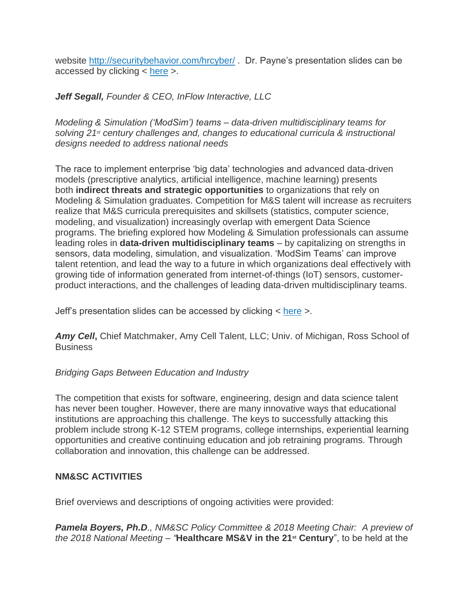website <http://securitybehavior.com/hrcyber/> . Dr. Payne's presentation slides can be accessed by clicking < [here](http://thenmsc.org/wp-content/uploads/2017/10/Payne-HRCyber-NMSC-Sep17.pdf) >.

*Jeff Segall, Founder & CEO, InFlow Interactive, LLC*

*Modeling & Simulation ('ModSim') teams – data-driven multidisciplinary teams for solving 21st century challenges and, changes to educational curricula & instructional designs needed to address national needs*

The race to implement enterprise 'big data' technologies and advanced data-driven models (prescriptive analytics, artificial intelligence, machine learning) presents both **indirect threats and strategic opportunities** to organizations that rely on Modeling & Simulation graduates. Competition for M&S talent will increase as recruiters realize that M&S curricula prerequisites and skillsets (statistics, computer science, modeling, and visualization) increasingly overlap with emergent Data Science programs. The briefing explored how Modeling & Simulation professionals can assume leading roles in **data-driven multidisciplinary teams** – by capitalizing on strengths in sensors, data modeling, simulation, and visualization. 'ModSim Teams' can improve talent retention, and lead the way to a future in which organizations deal effectively with growing tide of information generated from internet-of-things (IoT) sensors, customerproduct interactions, and the challenges of leading data-driven multidisciplinary teams.

Jeff's presentation slides can be accessed by clicking < [here](http://thenmsc.org/wp-content/uploads/2017/10/ModSimTeams-Segall-NMSC-Sep17.pdf) >.

*Amy Cell***,** Chief Matchmaker, Amy Cell Talent, LLC; Univ. of Michigan, Ross School of **Business** 

## *Bridging Gaps Between Education and Industry*

The competition that exists for software, engineering, design and data science talent has never been tougher. However, there are many innovative ways that educational institutions are approaching this challenge. The keys to successfully attacking this problem include strong K-12 STEM programs, college internships, experiential learning opportunities and creative continuing education and job retraining programs. Through collaboration and innovation, this challenge can be addressed.

# **NM&SC ACTIVITIES**

Brief overviews and descriptions of ongoing activities were provided:

*Pamela Boyers, Ph.D., NM&SC Policy Committee & 2018 Meeting Chair: A preview of the 2018 National Meeting – "***Healthcare MS&V in the 21st Century**", to be held at the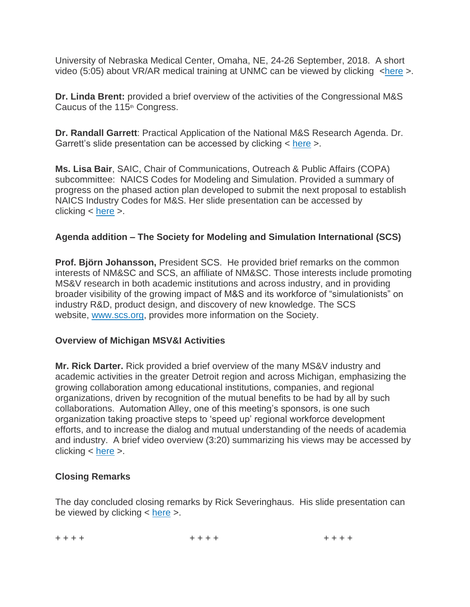University of Nebraska Medical Center, Omaha, NE, 24-26 September, 2018. A short video (5:05) about VR/AR medical training at UNMC can be viewed by clicking [<here](https://www.youtube.com/watch?v=wnfqEbkvmHU) >.

**Dr. Linda Brent:** provided a brief overview of the activities of the Congressional M&S Caucus of the 115<sup>th</sup> Congress.

**Dr. Randall Garrett**: Practical Application of the National M&S Research Agenda. Dr. Garrett's slide presentation can be accessed by clicking < [here](http://thenmsc.org/wp-content/uploads/2017/10/Garrett-RsrchAgnda-NMSC-Sep17.pdf) >.

**Ms. Lisa Bair**, SAIC, Chair of Communications, Outreach & Public Affairs (COPA) subcommittee: NAICS Codes for Modeling and Simulation. Provided a summary of progress on the phased action plan developed to submit the next proposal to establish NAICS Industry Codes for M&S. Her slide presentation can be accessed by clicking < [here](http://thenmsc.org/wp-content/uploads/2017/10/NAICS-Brief-NMSC-Sep17.pdf) >.

## **Agenda addition – The Society for Modeling and Simulation International (SCS)**

**Prof. Björn Johansson,** President SCS. He provided brief remarks on the common interests of NM&SC and SCS, an affiliate of NM&SC. Those interests include promoting MS&V research in both academic institutions and across industry, and in providing broader visibility of the growing impact of M&S and its workforce of "simulationists" on industry R&D, product design, and discovery of new knowledge. The SCS website, [www.scs.org,](http://www.scs.org/) provides more information on the Society.

## **Overview of Michigan MSV&I Activities**

**Mr. Rick Darter.** Rick provided a brief overview of the many MS&V industry and academic activities in the greater Detroit region and across Michigan, emphasizing the growing collaboration among educational institutions, companies, and regional organizations, driven by recognition of the mutual benefits to be had by all by such collaborations. Automation Alley, one of this meeting's sponsors, is one such organization taking proactive steps to 'speed up' regional workforce development efforts, and to increase the dialog and mutual understanding of the needs of academia and industry. A brief video overview (3:20) summarizing his views may be accessed by clicking < [here](https://www.youtube.com/watch?v=W0Vapm9Tffg) >.

## **Closing Remarks**

The day concluded closing remarks by Rick Severinghaus. His slide presentation can be viewed by clicking < [here](http://thenmsc.org/wp-content/uploads/2017/10/Chair-Closing-Rmks-NMSC-Sep17.pdf) >.

+ + + + + + + + + + + +